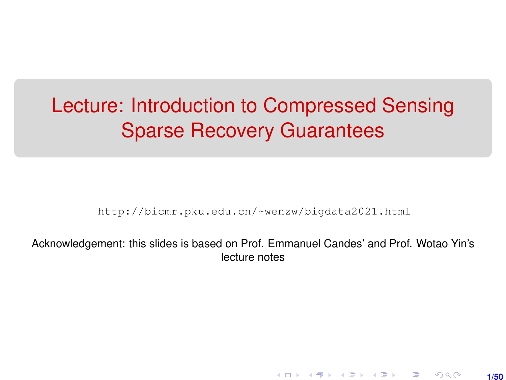# <span id="page-0-0"></span>Lecture: Introduction to Compressed Sensing Sparse Recovery Guarantees

[http://bicmr.pku.edu.cn/~wenzw/bigdata2021.html](http://bicmr.pku.edu.cn/~wenzw/bigdata2021.html )

Acknowledgement: this slides is based on Prof. Emmanuel Candes' and Prof. Wotao Yin's lecture notes

**1/50**

K ロ ▶ K 레 ▶ K 회 ▶ K 회 ▶ │ 회 │ ⊙ Q Q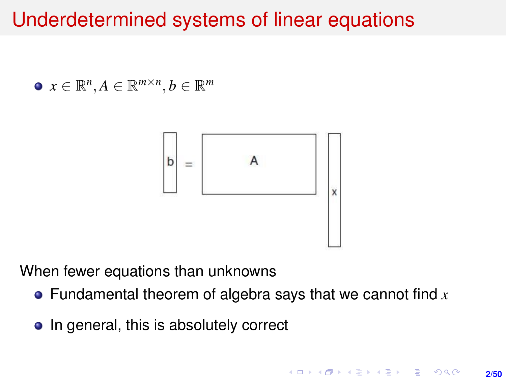## Underdetermined systems of linear equations

 $x \in \mathbb{R}^n, A \in \mathbb{R}^{m \times n}, b \in \mathbb{R}^m$ 



When fewer equations than unknowns

- Fundamental theorem of algebra says that we cannot find *x*
- In general, this is absolutely correct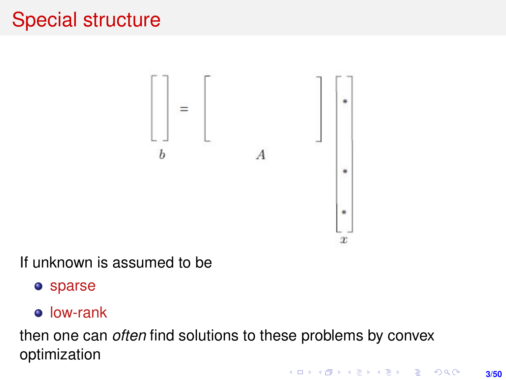# Special structure



If unknown is assumed to be

sparse

#### low-rank

then one can *often* find solutions to these problems by convex optimization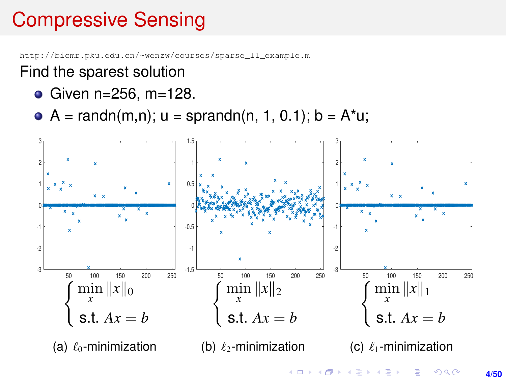# Compressive Sensing

[http://bicmr.pku.edu.cn/~wenzw/courses/sparse\\_l1\\_example.m](http://bicmr.pku.edu.cn/~wenzw/courses/sparse_l1_example.m)

#### Find the sparest solution

- Given n=256, m=128.
- $A = \text{randn}(m,n); u = \text{sprandn}(n, 1, 0.1); b = A^*u;$

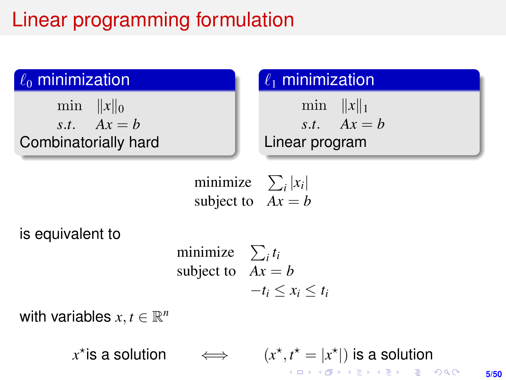# Linear programming formulation

#### $\ell_0$  minimization

min  $||x||_0$  $s$ *t*.  $Ax = b$ Combinatorially hard

## $\ell_1$  minimization

min  $||x||_1$  $s$ *t*.  $Ax = b$ Linear program

minimize  $\sum_i |x_i|$ subject to  $Ax = b$ 

is equivalent to

minimize 
$$
\sum_i t_i
$$
  
subject to  $Ax = b$   
 $-t_i \le x_i \le t_i$ 

with variables  $x, t \in \mathbb{R}^n$ 

 $x^*$  is a solution  $\iff$  (*x*  $x^{\star}, t^{\star} = |x^{\star}|$ ) is a solution **KOD KAD KED KED E YOUR**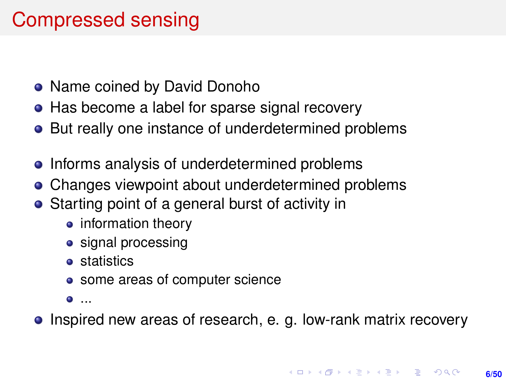## Compressed sensing

- Name coined by David Donoho
- Has become a label for sparse signal recovery
- But really one instance of underdetermined problems
- Informs analysis of underdetermined problems
- Changes viewpoint about underdetermined problems
- Starting point of a general burst of activity in
	- information theory
	- signal processing
	- **•** statistics
	- some areas of computer science
	- ...
- Inspired new areas of research, e. g. low-rank matrix recovery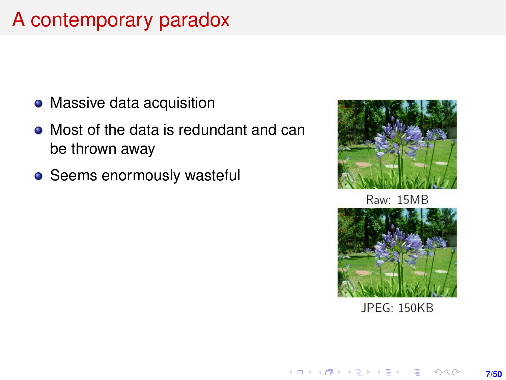# A contemporary paradox

- Massive data acquisition
- Most of the data is redundant and can be thrown away
- Seems enormously wasteful



**Raw: 15MB** 



**JPEG: 150KB**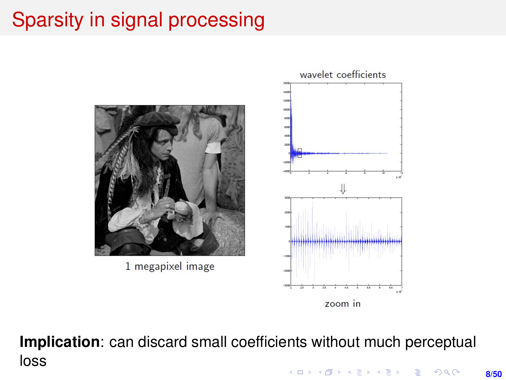# Sparsity in signal processing



**Implication**: can discard small coefficients without much perceptual loss**KORKARK (EXIST) E MAG**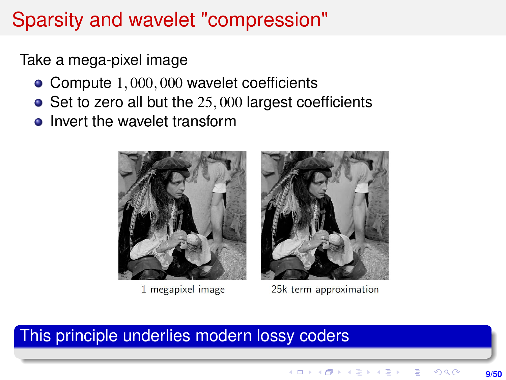## Sparsity and wavelet "compression"

Take a mega-pixel image

- Compute 1,000,000 wavelet coefficients
- $\bullet$  Set to zero all but the 25,000 largest coefficients
- Invert the wavelet transform



1 megapixel image



25k term approximation

#### This principle underlies modern lossy coders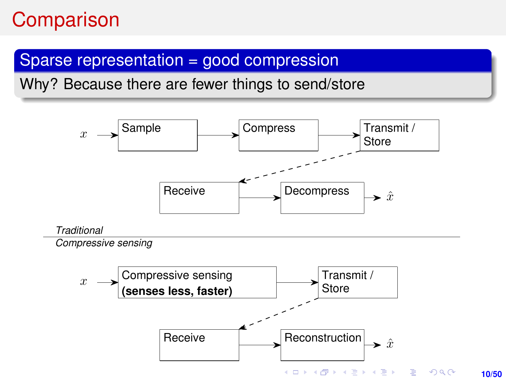## **Comparison**

#### Sparse representation = good compression

Why? Because there are fewer things to send/store

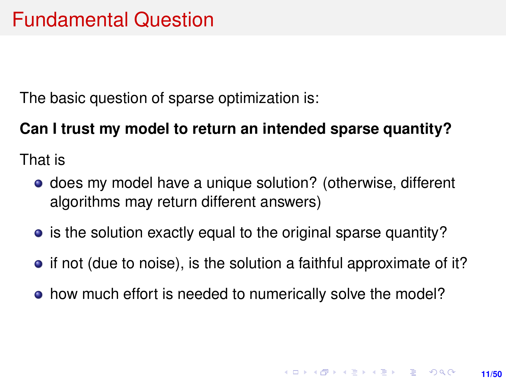The basic question of sparse optimization is:

#### **Can I trust my model to return an intended sparse quantity?**

That is

- **•** does my model have a unique solution? (otherwise, different algorithms may return different answers)
- is the solution exactly equal to the original sparse quantity?
- if not (due to noise), is the solution a faithful approximate of it?
- how much effort is needed to numerically solve the model?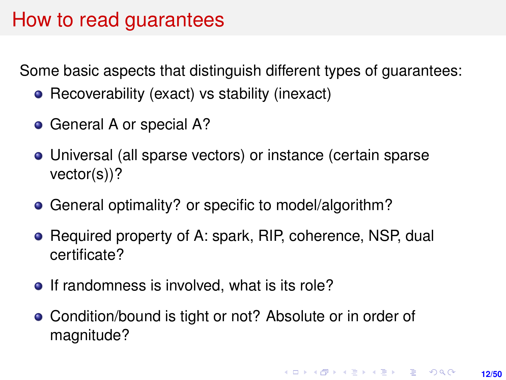### How to read guarantees

Some basic aspects that distinguish different types of guarantees:

- Recoverability (exact) vs stability (inexact)
- General A or special A?
- Universal (all sparse vectors) or instance (certain sparse vector(s))?
- General optimality? or specific to model/algorithm?
- Required property of A: spark, RIP, coherence, NSP, dual certificate?
- If randomness is involved, what is its role?
- Condition/bound is tight or not? Absolute or in order of magnitude?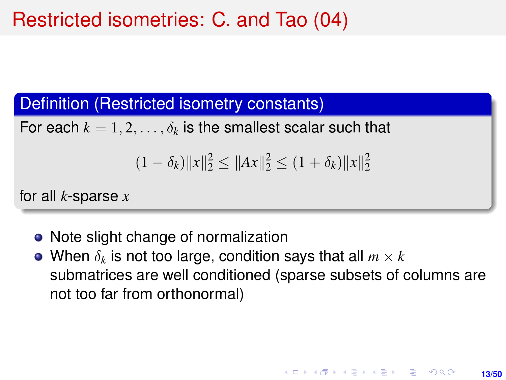## Restricted isometries: C. and Tao (04)

#### Definition (Restricted isometry constants)

For each  $k = 1, 2, \ldots, \delta_k$  is the smallest scalar such that

$$
(1 - \delta_k) \|x\|_2^2 \le \|Ax\|_2^2 \le (1 + \delta_k) \|x\|_2^2
$$

for all *k*-sparse *x*

- Note slight change of normalization
- When  $\delta_k$  is not too large, condition says that all  $m \times k$ submatrices are well conditioned (sparse subsets of columns are not too far from orthonormal)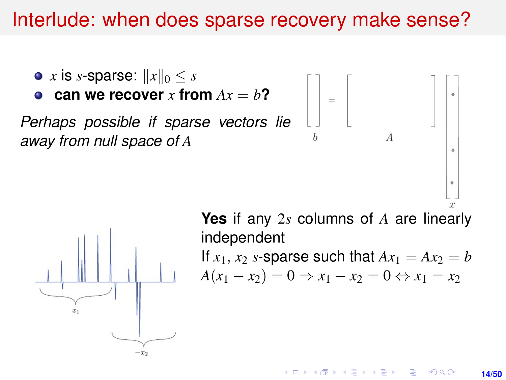## Interlude: when does sparse recovery make sense?

\n- $$
x
$$
 is  $s$ -sparse:  $||x||_0 \leq s$
\n- **can we recover**  $x$  from  $Ax = b$ ?
\n- **Perhaps possible if sparse vectors lie**\n
	\n- away from null space of  $A$
	\n- ...
	\n\n



**Yes** if any 2*s* columns of *A* are linearly independent If  $x_1$ ,  $x_2$  *s*-sparse such that  $Ax_1 = Ax_2 = b$  $A(x_1 - x_2) = 0 \Rightarrow x_1 - x_2 = 0 \Leftrightarrow x_1 = x_2$ 

> イロメ イ何 メイヨ メイヨメ  $2Q$ **14/50**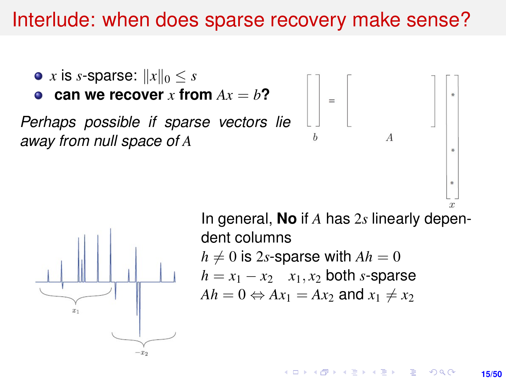## Interlude: when does sparse recovery make sense?

• *x* is *s*-sparse:  $||x||_0 < s$ **can we recover** *x* **from**  $Ax = b$ ? *Perhaps possible if sparse vectors lie away from null space of A*  $*$ 



In general, **No** if *A* has 2*s* linearly dependent columns  $h \neq 0$  is 2*s*-sparse with  $Ah = 0$  $h = x_1 - x_2$  *x*<sub>1</sub>, *x*<sub>2</sub> both *s*-sparse  $Ah = 0 \Leftrightarrow Ax_1 = Ax_2$  and  $x_1 \neq x_2$ 

> $4$  ロ )  $4$   $6$  )  $4$   $\geq$  )  $4$   $\geq$  ) **15/50**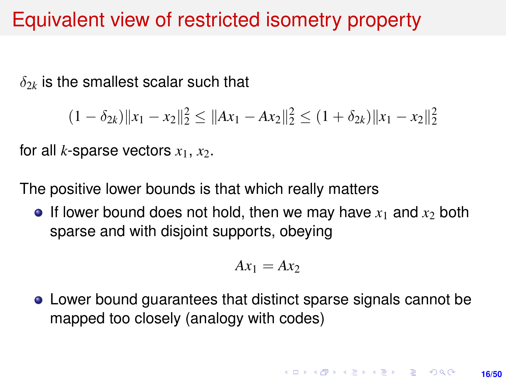## Equivalent view of restricted isometry property

 $\delta_{2k}$  is the smallest scalar such that

$$
(1 - \delta_{2k}) \|x_1 - x_2\|_2^2 \le \|Ax_1 - Ax_2\|_2^2 \le (1 + \delta_{2k}) \|x_1 - x_2\|_2^2
$$

for all *k*-sparse vectors  $x_1, x_2$ .

The positive lower bounds is that which really matters

 $\bullet$  If lower bound does not hold, then we may have  $x_1$  and  $x_2$  both sparse and with disjoint supports, obeying

$$
Ax_1 = Ax_2
$$

Lower bound guarantees that distinct sparse signals cannot be mapped too closely (analogy with codes)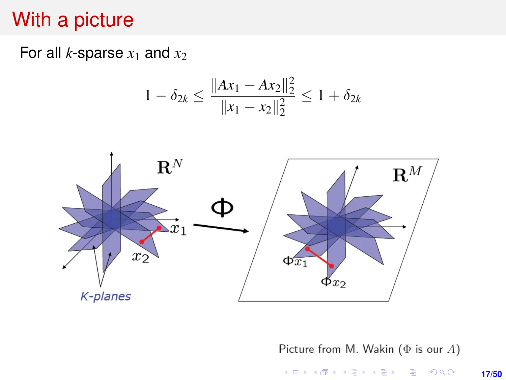## <span id="page-16-0"></span>With a picture

For all *k*-sparse  $x_1$  and  $x_2$ 

$$
1 - \delta_{2k} \le \frac{\|Ax_1 - Ax_2\|_2^2}{\|x_1 - x_2\|_2^2} \le 1 + \delta_{2k}
$$



Picture from M. Wakin ( $\Phi$  is our A) K ロ X (日) X (日) X (日) X (日) X (日) X (日) X (日) X (日) X (日) X (日) X (日)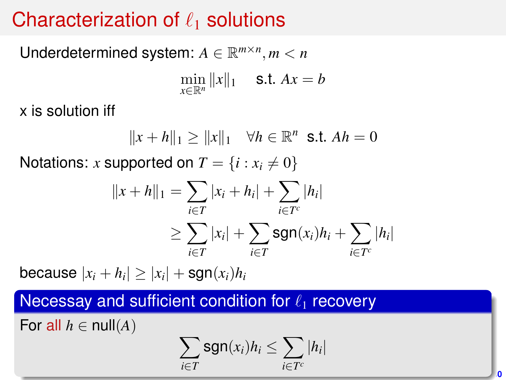# Characterization of  $\ell_1$  solutions

Underdetermined system:  $A \in \mathbb{R}^{m \times n}$ ,  $m < n$ 

 $\min_{x \in \mathbb{R}^n} ||x||_1$  **s.t.**  $Ax = b$ 

x is solution iff

 $||x + h||_1 ≥ ||x||_1 \quad \forall h ∈ \mathbb{R}^n \text{ s.t. } Ah = 0$ 

Notations: *x* supported on  $T = \{i : x_i \neq 0\}$ 

$$
||x + h||_1 = \sum_{i \in T} |x_i + h_i| + \sum_{i \in T^c} |h_i|
$$
  
\n
$$
\geq \sum_{i \in T} |x_i| + \sum_{i \in T} sgn(x_i)h_i + \sum_{i \in T^c} |h_i|
$$

because  $|x_i+h_i|\geq |x_i|+\mathsf{sgn}(x_i)h_i$ 

Necessay and sufficient condition for  $\ell_1$  recovery

For all  $h \in \text{null}(A)$ 

$$
\sum_{i\in T} \operatorname{sgn}(x_i) h_i \leq \sum_{i\in T^c} |h_i|
$$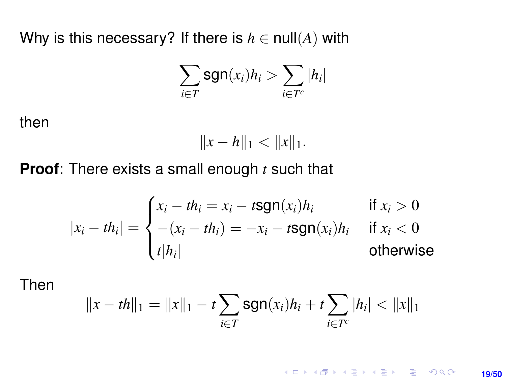<span id="page-18-0"></span>Why is this necessary? If there is  $h \in null(A)$  with

$$
\sum_{i\in T} \operatorname{sgn}(x_i) h_i > \sum_{i\in T^c} |h_i|
$$

then

$$
||x - h||_1 < ||x||_1.
$$

**Proof**: There exists a small enough *t* such that

$$
|x_i - th_i| = \begin{cases} x_i - th_i = x_i - t \text{sgn}(x_i)h_i & \text{if } x_i > 0\\ -(x_i - th_i) = -x_i - t \text{sgn}(x_i)h_i & \text{if } x_i < 0\\ t|h_i| & \text{otherwise} \end{cases}
$$

Then

$$
||x - th||_1 = ||x||_1 - t \sum_{i \in T} \text{sgn}(x_i)h_i + t \sum_{i \in T^c} |h_i| < ||x||_1
$$

K ロ ▶ K @ ▶ K 할 ▶ K 할 ▶ 이 할 → 9 Q @ **19/50**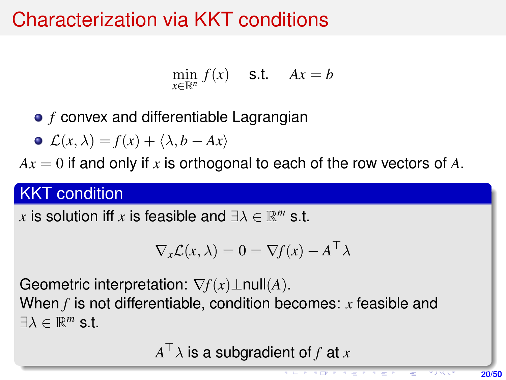# Characterization via KKT conditions

$$
\min_{x \in \mathbb{R}^n} f(x) \quad \text{s.t.} \quad Ax = b
$$

**•** *f* convex and differentiable Lagrangian

$$
\bullet \ \mathcal{L}(x,\lambda) = f(x) + \langle \lambda, b - Ax \rangle
$$

 $Ax = 0$  if and only if x is orthogonal to each of the row vectors of A.

#### **KKT** condition

 $x$  is solution iff  $x$  is feasible and  $\exists \lambda \in \mathbb{R}^m$  s.t.

$$
\nabla_x \mathcal{L}(x, \lambda) = 0 = \nabla f(x) - A^\top \lambda
$$

Geometric interpretation: ∇*f*(*x*)⊥null(*A*).

When *f* is not differentiable, condition becomes: *x* feasible and  $\exists \lambda \in \mathbb{R}^m$  s.t.

 $A^\top \lambda$  is a subgradient of  $f$  at  $x$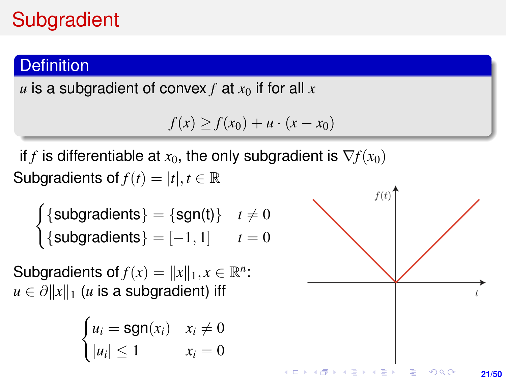# **Subgradient**

#### **Definition**

*u* is a subgradient of convex *f* at  $x<sub>0</sub>$  if for all  $x<sub>0</sub>$ 

$$
f(x) \ge f(x_0) + u \cdot (x - x_0)
$$

if *f* is differentiable at  $x_0$ , the only subgradient is  $\nabla f(x_0)$ Subgradients of  $f(t) = |t|, t \in \mathbb{R}$ 

$$
\begin{cases} {subgradients} = {sgn(t)} & t \neq 0 \\ {subgradients} = [-1, 1] & t = 0 \end{cases}
$$

Subgradients of  $f(x) = ||x||_1, x \in \mathbb{R}^n$ :  $u \in \partial ||x||_1$  (*u* is a subgradient) iff

$$
\begin{cases} u_i = \text{sgn}(x_i) & x_i \neq 0 \\ |u_i| \leq 1 & x_i = 0 \end{cases}
$$

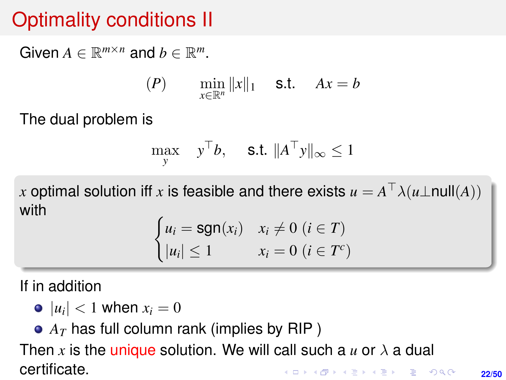# Optimality conditions II

Given  $A \in \mathbb{R}^{m \times n}$  and  $b \in \mathbb{R}^m$ .

$$
(P) \qquad \min_{x \in \mathbb{R}^n} \|x\|_1 \quad \text{s.t.} \quad Ax = b
$$

The dual problem is

$$
\max_{y} \quad y^{\top}b, \quad \text{s.t. } \|A^{\top}y\|_{\infty} \le 1
$$

 $x$  optimal solution iff  $x$  is feasible and there exists  $u = A^\top \lambda (u \bot \mathsf{null}(A))$ with

$$
\begin{cases} u_i = \text{sgn}(x_i) & x_i \neq 0 \ (i \in T) \\ |u_i| \leq 1 & x_i = 0 \ (i \in T^c) \end{cases}
$$

If in addition

- $|u_i|$  < 1 when  $x_i = 0$
- $\bullet$   $A_T$  has full column rank (implies by RIP)

Then x is the unique solution. We will call such a  $u$  or  $\lambda$  a dual certificate.**KORKARK A BIK BIKA A GA A GA A GA A BIKA A BIKA A BIKA A BIKA A BIKA A BIKA A BIKA A BIKA A BIKA A BIKA A BIKA**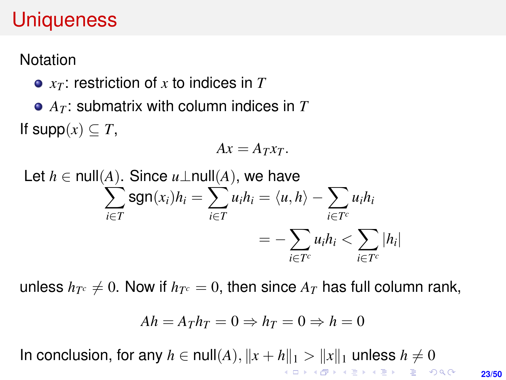## **Uniqueness**

**Notation** 

- *x<sup>T</sup>* : restriction of *x* to indices in *T*
- *A<sup>T</sup>* : submatrix with column indices in *T* If  $supp(x) \subseteq T$ ,

$$
Ax = A_T x_T.
$$

Let 
$$
h \in \text{null}(A)
$$
. Since  $u \perp \text{null}(A)$ , we have  
\n
$$
\sum_{i \in T} \text{sgn}(x_i) h_i = \sum_{i \in T} u_i h_i = \langle u, h \rangle - \sum_{i \in T^c} u_i h_i
$$
\n
$$
= -\sum_{i \in T^c} u_i h_i < \sum_{i \in T^c} |h_i|
$$

unless  $h_{T^c}\neq 0.$  Now if  $h_{T^c}=0,$  then since  $A_T$  has full column rank,

$$
Ah = A_T h_T = 0 \Rightarrow h_T = 0 \Rightarrow h = 0
$$

In conclusion, for any  $h \in null(A)$ ,  $||x + h||_1 > ||x||_1$  $||x + h||_1 > ||x||_1$  $||x + h||_1 > ||x||_1$  unless  $h \neq 0$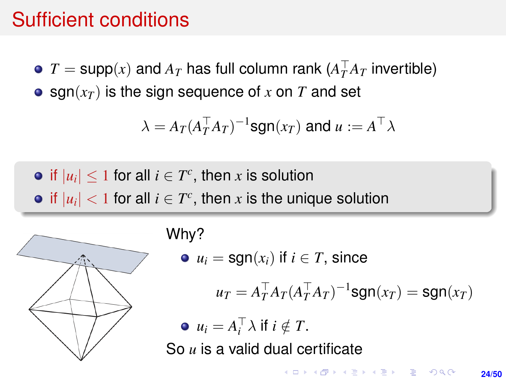### Sufficient conditions

 $T = \text{supp}(x)$  and  $A_T$  has full column rank  $(A_T^\top A_T$  invertible)

 $\bullet$  sgn( $x_T$ ) is the sign sequence of x on T and set

$$
\lambda = A_T (A_T^\top A_T)^{-1} \text{sgn}(x_T) \text{ and } u := A^\top \lambda
$$

if  $|u_i| \leq 1$  for all  $i \in T^c$ , then x is solution if  $|u_i| < 1$  for all  $i \in T^c$ , then  $x$  is the unique solution



#### Why?

 $\bullet$   $u_i = \text{sgn}(x_i)$  if  $i \in T$ , since

$$
u_T = A_T^\top A_T (A_T^\top A_T)^{-1} \text{sgn}(x_T) = \text{sgn}(x_T)
$$

 $u_i = A_i^{\top} \lambda$  if  $i \notin T$ . So *u* is a valid dual certificate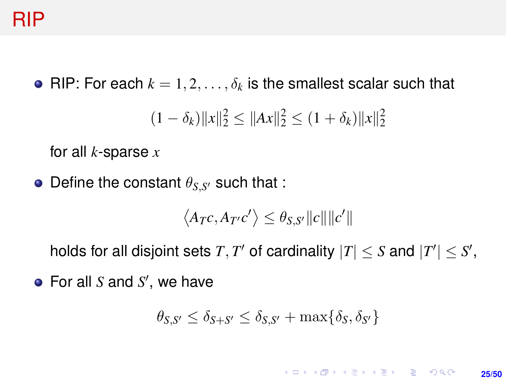### RIP

• RIP: For each  $k = 1, 2, \ldots, \delta_k$  is the smallest scalar such that

$$
(1 - \delta_k) \|x\|_2^2 \le \|Ax\|_2^2 \le (1 + \delta_k) \|x\|_2^2
$$

for all *k*-sparse *x*

Define the constant  $\theta_{S,S'}$  such that :

$$
\langle A_Tc, A_{T'}c'\rangle \leq \theta_{S,S'}||c||||c'||
$$

holds for all disjoint sets  $T, T'$  of cardinality  $|T| \leq S$  and  $|T'| \leq S'$ ,

For all *S* and *S'*, we have

$$
\theta_{S,S'} \le \delta_{S+S'} \le \delta_{S,S'} + \max\{\delta_S, \delta_{S'}\}
$$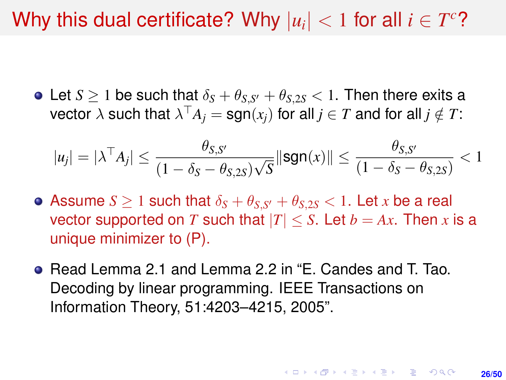# Why this dual certificate? Why  $|u_i| < 1$  for all  $i \in T^c$ ?

Let  $S \geq 1$  be such that  $\delta_S + \theta_{S,S'} + \theta_{S,2S} < 1$ . Then there exits a  $\mathsf{vector}\ \lambda\ \mathsf{such}\ \mathsf{that}\ \lambda^\top A_j=\mathsf{sgn}(x_j)\ \mathsf{for}\ \mathsf{all}\ j\in T\ \mathsf{and}\ \mathsf{for}\ \mathsf{all}\ j\notin T\mathsf{.}$ 

$$
|u_j| = |\lambda^\top A_j| \le \frac{\theta_{S,S'}}{(1-\delta_S-\theta_{S,2S})\sqrt{S}} \|\text{sgn}(x)\| \le \frac{\theta_{S,S'}}{(1-\delta_S-\theta_{S,2S})} < 1
$$

- Assume  $S \geq 1$  such that  $\delta_S + \theta_{S,S'} + \theta_{S,2S} < 1.$  Let  $x$  be a real vector supported on *T* such that  $|T| \leq S$ . Let  $b = Ax$ . Then *x* is a unique minimizer to (P).
- Read Lemma 2.1 and Lemma 2.2 in "E. Candes and T. Tao. Decoding by linear programming. IEEE Transactions on Information Theory, 51:4203–4215, 2005".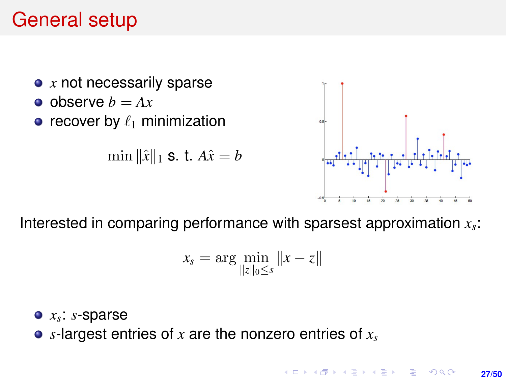## General setup



Interested in comparing performance with sparsest approximation *x<sup>s</sup>* :

$$
x_s = \arg\min_{\|z\|_0 \leq s} \|x - z\|
$$

- *xs* : *s*-sparse
- *s*-largest entries of *x* are the nonzero entries of *x<sup>s</sup>*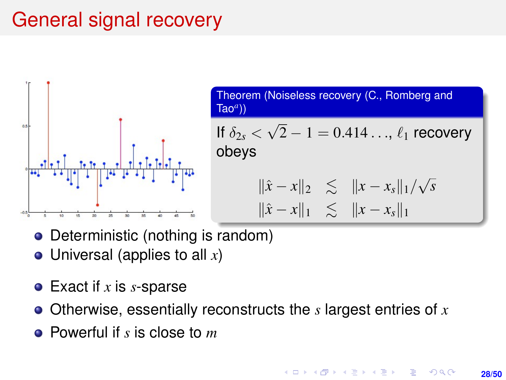# General signal recovery



Theorem (Noiseless recovery (C., Romberg and Tao*<sup>a</sup>* )) If  $\delta_{2s}$   $<$ √  $2 - 1 = 0.414\dots, \ell_1$  recovery obeys  $\|\hat{x} - x\|_2 \leq \|x - x_s\|_1/\sqrt{2}$ *s*  $\|\hat{x} - x\|_1 \leq \|x - x_s\|_1$ 

- Deterministic (nothing is random)
- Universal (applies to all *x*)
- Exact if *x* is *s*-sparse
- Otherwise, essentially reconstructs the *s* largest entries of *x*
- Powerful if *s* is close to *m*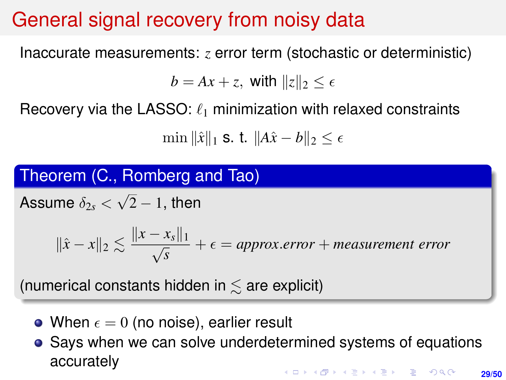## General signal recovery from noisy data

Inaccurate measurements: *z* error term (stochastic or deterministic)

 $b = Ax + z$ , with  $||z||_2 < \epsilon$ 

Recovery via the LASSO:  $\ell_1$  minimization with relaxed constraints

 $\min ||\hat{x}||_1$  **s. t.**  $||A\hat{x} - b||_2 < \epsilon$ 

Theorem (C., Romberg and Tao)

Assume  $\delta_{2s} <$ √  $2-1$ , then

> $\|\hat{x} - x\|_2 \lesssim \frac{\|x - x_s\|_1}{\sqrt{s}}$  $\frac{ds_{s+1}}{s} + \epsilon =$  approx.error + *measurement error*

(numerical constants hidden in  $\leq$  are explicit)

- When  $\epsilon = 0$  (no noise), earlier result
- Says when we can solve underdetermined systems of equations accurately।<br>ଏଠା ଏ≲ ଏ≘ା ଏହା ଏକ ସାଧା **29/50**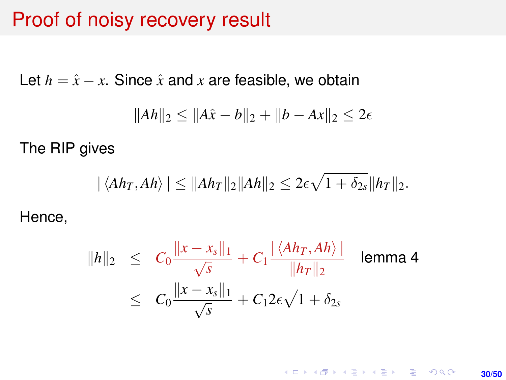### Proof of noisy recovery result

Let  $h = \hat{x} - x$ . Since  $\hat{x}$  and  $x$  are feasible, we obtain

$$
||Ah||_2 \le ||A\hat{x} - b||_2 + ||b - Ax||_2 \le 2\epsilon
$$

The RIP gives

$$
|\langle Ah_T, Ah \rangle| \leq ||Ah_T||_2||Ah||_2 \leq 2\epsilon\sqrt{1+\delta_{2s}}||h_T||_2.
$$

Hence,

$$
||h||_2 \leq C_0 \frac{||x - x_s||_1}{\sqrt{s}} + C_1 \frac{|\langle Ah_T, Ah \rangle|}{||h_T||_2} \quad \text{lemma 4}
$$
  

$$
\leq C_0 \frac{||x - x_s||_1}{\sqrt{s}} + C_1 2\epsilon \sqrt{1 + \delta_{2s}}
$$

K ロ ▶ K @ ▶ K 할 ▶ K 할 ▶ 이 할 → 9 Q @ **30/50**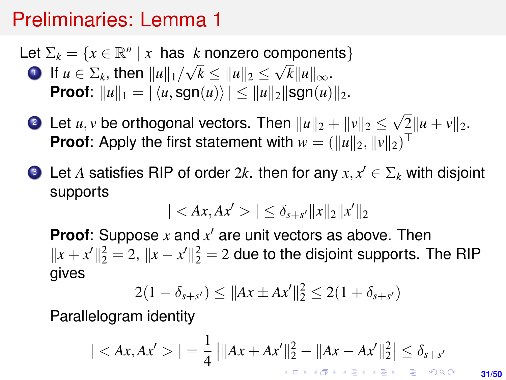- Let  $\Sigma_k = \{x \in \mathbb{R}^n \mid x \text{ has } k \text{ nonzero components}\}\$ **1** If  $u \in \Sigma_k$ , then  $||u||_1/$ √  $k \leq ||u||_2 \leq$ √  $k||u||_{\infty}$ . **Proof**:  $||u||_1 = |\langle u, \text{sgn}(u) \rangle| < ||u||_2||\text{sgn}(u)||_2$ .
	- 2 Let  $u, v$  be orthogonal vectors. Then  $\|u\|_2 + \|v\|_2 \leq 1$ √  $2\|u + v\|_2.$ **Proof:** Apply the first statement with  $w = (\|u\|_2, \|v\|_2)^\top$
	- **3** Let A satisfies RIP of order  $2k$ . then for any  $x, x' \in \Sigma_k$  with disjoint supports

$$
|| \leq \delta_{s+s'}||x||_2||x'||_2
$$

**Proof**: Suppose  $x$  and  $x'$  are unit vectors as above. Then  $||x + x'||_2^2 = 2$ ,  $||x - x'||_2^2 = 2$  due to the disjoint supports. The RIP gives

$$
2(1 - \delta_{s+s'}) \le ||Ax \pm Ax'||_2^2 \le 2(1 + \delta_{s+s'})
$$

Parallelogram identity

$$
||=\frac{1}{4}\left|\|Ax+Ax'\|_2^2-\|Ax-Ax'\|_2^2\right|\leq \delta_{s+s'}
$$

**31/50**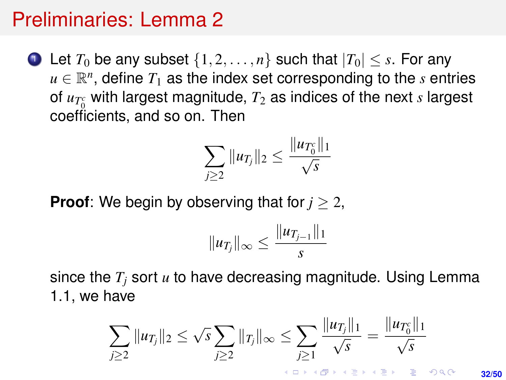**1** Let  $T_0$  be any subset  $\{1, 2, \ldots, n\}$  such that  $|T_0| \leq s$ . For any  $u \in \mathbb{R}^n$ , define  $T_1$  as the index set corresponding to the  $s$  entries of  $u_{T_0^c}$  with largest magnitude,  $T_2$  as indices of the next *s* largest coefficients, and so on. Then

$$
\sum_{j\geq 2} \|u_{T_j}\|_2 \leq \frac{\|u_{T_0^c}\|_1}{\sqrt{s}}
$$

**Proof**: We begin by observing that for *j* ≥ 2,

$$
||u_{T_j}||_{\infty} \leq \frac{||u_{T_{j-1}}||_1}{s}
$$

since the *T<sup>j</sup>* sort *u* to have decreasing magnitude. Using Lemma 1.1, we have

$$
\sum_{j\geq 2} \|u_{T_j}\|_2 \leq \sqrt{s} \sum_{j\geq 2} \|r_j\|_\infty \leq \sum_{j\geq 1} \frac{\|u_{T_j}\|_1}{\sqrt{s}} = \frac{\|u_{T_0^c}\|_1}{\sqrt{s}}
$$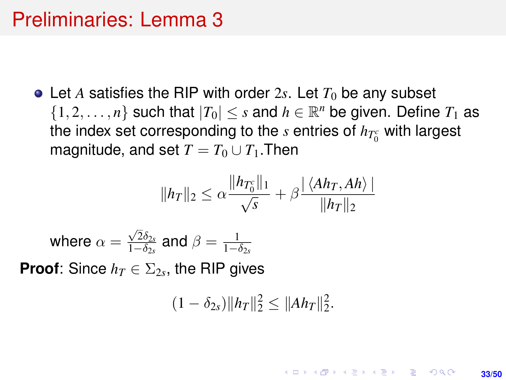• Let A satisfies the RIP with order 2s. Let  $T_0$  be any subset  $\{1, 2, \ldots, n\}$  such that  $|T_0| \leq s$  and  $h \in \mathbb{R}^n$  be given. Define  $T_1$  as the index set corresponding to the *s* entries of  $h_{T_0^c}$  with largest magnitude, and set  $T = T_0 \cup T_1$ . Then

$$
||h_T||_2 \leq \alpha \frac{||h_{T_0^c}||_1}{\sqrt{s}} + \beta \frac{|\langle Ah_T, Ah \rangle|}{||h_T||_2}
$$

where  $\alpha=$  $\sqrt{2}\delta_{2s}$  $\frac{\sqrt{2}\delta_{2s}}{1-\delta_{2s}}$  and  $\beta = \frac{1}{1-\delta_{2s}}$ 

**Proof**: Since  $h_T \in \Sigma_{2s}$ , the RIP gives

$$
(1 - \delta_{2s}) \|h_T\|_2^2 \le \|Ah_T\|_2^2.
$$

**33/50**

**KORKARK A BIK BIKA A GA A GA A GA A BIKA A BIKA A BIKA A BIKA A BIKA A BIKA A BIKA A BIKA A BIKA A BIKA A BIKA**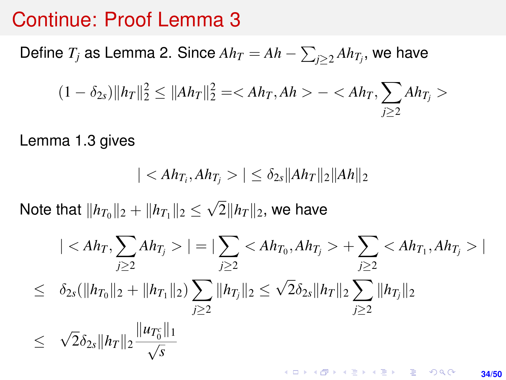#### Continue: Proof Lemma 3

Define  $T_j$  as Lemma 2. Since  $Ah_T = Ah - \sum_{j \geq 2} Ah_{T_j},$  we have

$$
(1 - \delta_{2s}) \|h_T\|_2^2 \le \|Ah_T\|_2^2 = \langle Ah_T, Ah \rangle - \langle Ah_T, \sum_{j \ge 2} Ah_{T_j} \rangle
$$

Lemma 1.3 gives

$$
||\leq \delta_{2s}||Ah_T||_2||Ah||_2
$$

Note that  $\|h_{T_0}\|_2 + \|h_{T_1}\|_2 \leq$ √  $2\|h_T\|_2$ , we have

$$
||=|\sum_{j\geq 2} < Ah_{T_0}, Ah_{T_j}>+ \sum_{j\geq 2} < Ah_{T_1}, Ah_{T_j}>|
$$
  
\n
$$
\leq \delta_{2s}(\|h_{T_0}\|_2 + \|h_{T_1}\|_2) \sum_{j\geq 2} \|h_{T_j}\|_2 \leq \sqrt{2}\delta_{2s} \|h_T\|_2 \sum_{j\geq 2} \|h_{T_j}\|_2
$$
  
\n
$$
\leq \sqrt{2}\delta_{2s} \|h_T\|_2 \frac{\|u_{T_0^c}\|_1}{\sqrt{s}}
$$

KO KKO KARA VE KARA **34/50**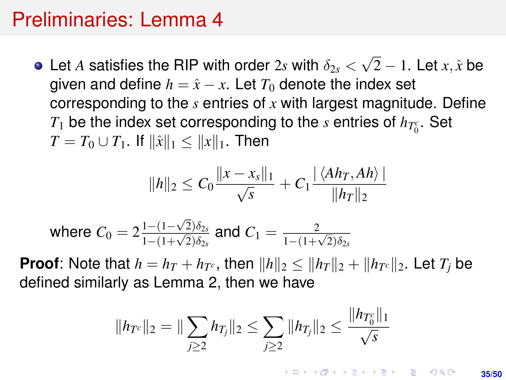Let *A* satisfies the RIP with order 2*s* with  $\delta_{2s}$   $<$ √ 2 − 1. Let *x*, ˆ*x* be given and define  $h = \hat{x} - x$ . Let  $T_0$  denote the index set corresponding to the *s* entries of *x* with largest magnitude. Define *T*<sub>1</sub> be the index set corresponding to the *s* entries of  $h_{T_0^c}$ . Set *T* = *T*<sub>0</sub> ∪ *T*<sub>1</sub>. If  $\|\hat{x}\|_1$  <  $\|x\|_1$ . Then

$$
||h||_2 \leq C_0 \frac{||x-x_s||_1}{\sqrt{s}} + C_1 \frac{|\langle Ah_T, Ah \rangle|}{||h_T||_2}
$$

where 
$$
C_0 = 2\frac{1 - (1 - \sqrt{2})\delta_{2s}}{1 - (1 + \sqrt{2})\delta_{2s}}
$$
 and  $C_1 = \frac{2}{1 - (1 + \sqrt{2})\delta_{2s}}$ 

**Proof**: Note that  $h = h_T + h_{T^c}$ , then  $\|h\|_2 \leq \|h_T\|_2 + \|h_{T^c}\|_2$ . Let  $T_j$  be defined similarly as Lemma 2, then we have

$$
||h_{T^c}||_2 = ||\sum_{j\geq 2} h_{T_j}||_2 \leq \sum_{j\geq 2} ||h_{T_j}||_2 \leq \frac{||h_{T_0^c}||_1}{\sqrt{s}}
$$

**KORKAR KERKER E KORA 35/50**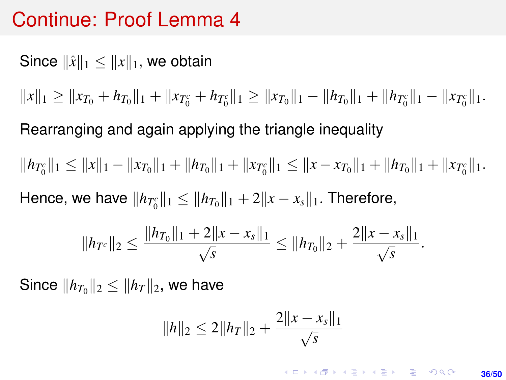### Continue: Proof Lemma 4

Since  $\|\hat{x}\|_1 \leq \|x\|_1$ , we obtain

 $||x||_1 \geq ||x_{T_0} + h_{T_0}||_1 + ||x_{T_0} + h_{T_0}||_1 \geq ||x_{T_0}||_1 - ||h_{T_0}||_1 + ||h_{T_0}||_1 - ||x_{T_0}||_1.$ 

Rearranging and again applying the triangle inequality

 $||h_{T_0}||_1 \leq ||x||_1 - ||x_{T_0}||_1 + ||h_{T_0}||_1 + ||x_{T_0}||_1 \leq ||x - x_{T_0}||_1 + ||h_{T_0}||_1 + ||x_{T_0}||_1.$ 

 $\textsf{Hence, we have } \|h_{T_0^c}\|_1 \leq \|h_{T_0}\|_1 + 2\|x - x_s\|_1. \text{ Therefore, }$ 

$$
||h_{Tc}||_2 \le \frac{||h_{T_0}||_1 + 2||x - x_s||_1}{\sqrt{s}} \le ||h_{T_0}||_2 + \frac{2||x - x_s||_1}{\sqrt{s}}
$$

Since  $\|h_{T_0}\|_2 \le \|h_T\|_2$ , we have

$$
||h||_2 \leq 2||h_T||_2 + \frac{2||x - x_s||_1}{\sqrt{s}}
$$

**KORKAR KERKER E VOOR 36/50**

.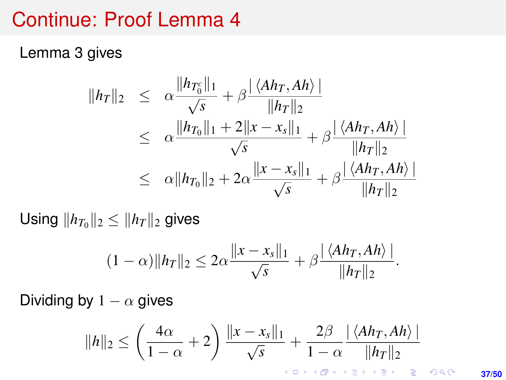### Continue: Proof Lemma 4

Lemma 3 gives

$$
||h_T||_2 \leq \alpha \frac{||h_{T_0^c}||_1}{\sqrt{s}} + \beta \frac{|\langle Ah_T, Ah \rangle|}{||h_T||_2}
$$
  
\n
$$
\leq \alpha \frac{||h_{T_0}||_1 + 2||x - x_s||_1}{\sqrt{s}} + \beta \frac{|\langle Ah_T, Ah \rangle|}{||h_T||_2}
$$
  
\n
$$
\leq \alpha ||h_{T_0}||_2 + 2\alpha \frac{||x - x_s||_1}{\sqrt{s}} + \beta \frac{|\langle Ah_T, Ah \rangle|}{||h_T||_2}
$$

Using  $||h_{T_0}||_2 \leq ||h_T||_2$  gives

$$
(1-\alpha)\|h_T\|_2 \leq 2\alpha \frac{\|x-x_s\|_1}{\sqrt{s}} + \beta \frac{|\langle Ah_T, Ah \rangle|}{\|h_T\|_2}.
$$

Dividing by  $1 - \alpha$  gives

$$
||h||_2 \le \left(\frac{4\alpha}{1-\alpha}+2\right)\frac{||x-x_s||_1}{\sqrt{s}} + \frac{2\beta}{1-\alpha}\frac{|\langle Ah_T, Ah \rangle|}{||h_T||_2}
$$

**37/50**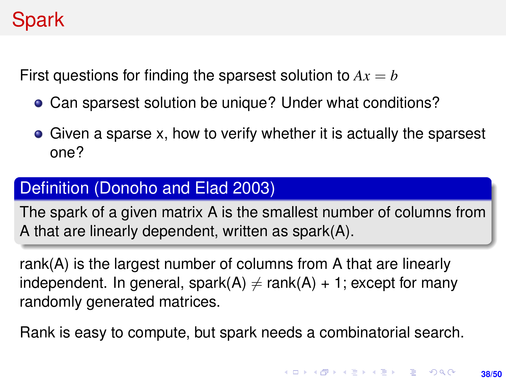# <span id="page-37-0"></span>Spark

First questions for finding the sparsest solution to  $Ax = b$ 

- Can sparsest solution be unique? Under what conditions?
- Given a sparse x, how to verify whether it is actually the sparsest one?

#### Definition (Donoho and Elad 2003)

The spark of a given matrix A is the smallest number of columns from A that are linearly dependent, written as spark(A).

rank(A) is the largest number of columns from A that are linearly independent. In general, spark(A)  $\neq$  rank(A) + 1; except for many randomly generated matrices.

Rank is easy to compute, but spark needs a combinatorial search.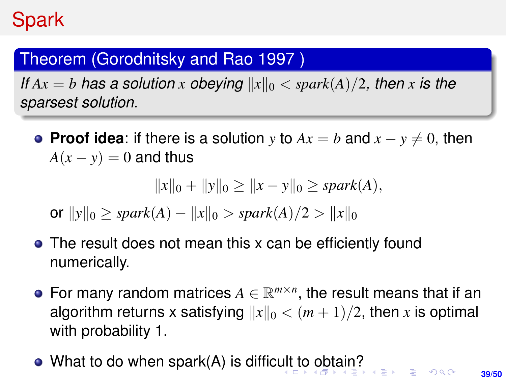### <span id="page-38-0"></span>Theorem (Gorodnitsky and Rao 1997 )

*If*  $Ax = b$  *has a solution x obeying*  $||x||_0 <$  *spark* $(A)/2$ *, then x is the sparsest solution.*

**• Proof idea:** if there is a solution *y* to  $Ax = b$  and  $x - y \neq 0$ , then  $A(x - y) = 0$  and thus

$$
||x||_0 + ||y||_0 \ge ||x - y||_0 \ge spark(A),
$$

or  $||y||_0 >$  *spark*(*A*) −  $||x||_0 >$  *spark*(*A*)/2 >  $||x||_0$ 

- The result does not mean this x can be efficiently found numerically.
- For many random matrices  $A \in \mathbb{R}^{m \times n}$ , the result means that if an algorithm returns x satisfying  $||x||_0 < (m+1)/2$ , then x is optimal with probability 1.
- What to do when spark(A) is diffic[ult](#page-37-0) [to](#page-39-0)[ob](#page-38-0)[t](#page-39-0)[ain](#page-0-0)[?](#page-49-0)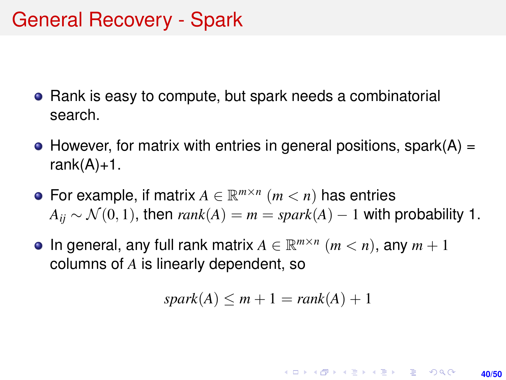- <span id="page-39-0"></span>Rank is easy to compute, but spark needs a combinatorial search.
- $\bullet$  However, for matrix with entries in general positions, spark(A) = rank $(A)+1$ .
- For example, if matrix  $A \in \mathbb{R}^{m \times n}$   $(m < n)$  has entries  $A_{ii} \sim \mathcal{N}(0, 1)$ , then  $rank(A) = m = spark(A) - 1$  with probability 1.
- In general, any full rank matrix  $A \in \mathbb{R}^{m \times n}$   $(m < n)$ , any  $m + 1$ columns of *A* is linearly dependent, so

$$
spark(A) \leq m+1 = rank(A)+1
$$

**KORKARK KERKER DRAM 40/50**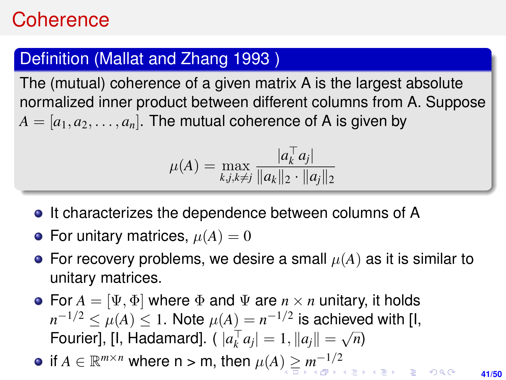## <span id="page-40-0"></span>**Coherence**

#### Definition (Mallat and Zhang 1993 )

The (mutual) coherence of a given matrix A is the largest absolute normalized inner product between different columns from A. Suppose  $A = [a_1, a_2, \ldots, a_n]$ . The mutual coherence of A is given by

$$
\mu(A) = \max_{k,j,k \neq j} \frac{|a_k^{\top} a_j|}{\|a_k\|_2 \cdot \|a_j\|_2}
$$

- It characterizes the dependence between columns of A
- For unitary matrices,  $\mu(A) = 0$
- **•** For recovery problems, we desire a small  $\mu(A)$  as it is similar to unitary matrices.
- For  $A = [\Psi, \Phi]$  where  $\Phi$  and  $\Psi$  are  $n \times n$  unitary, it holds  $n^{-1/2} \leq \mu(A) \leq 1.$  Note  $\mu(A) = n^{-1/2}$  is achieved with [I, Fourier], [I, Hadamard].  $(|a_k^{\top} a_j| = 1, ||a_j|| = \sqrt{\frac{2}{\pi}}$ *n*)

if  $A \in \mathbb{R}^{m \times n}$  $A \in \mathbb{R}^{m \times n}$  $A \in \mathbb{R}^{m \times n}$  where  $n > m$ , then  $\mu(A) \geq m^{-1/2}$  $\mu(A) \geq m^{-1/2}$  $\mu(A) \geq m^{-1/2}$ 

**41/50**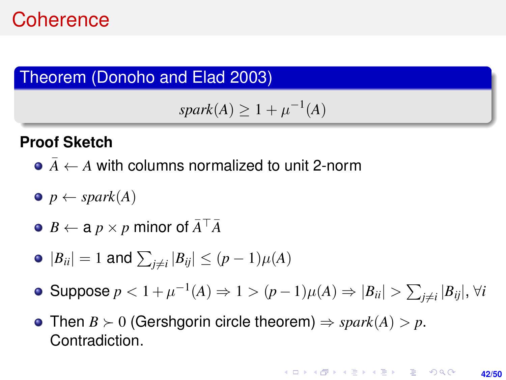### <span id="page-41-0"></span>**Coherence**

#### Theorem (Donoho and Elad 2003)

```
spark(A) \geq 1 + \mu^{-1}(A)
```
#### **Proof Sketch**

- $\bullet$   $\overline{A}$   $\leftarrow$  *A* with columns normalized to unit 2-norm
- $\bullet$  *p*  $\leftarrow$  *spark* $(A)$
- $\bullet$  *B*  $\leftarrow$  *a p*  $\times$  *p* minor of  $\bar{A}^{\top} \bar{A}$
- $|B_{ii}| = 1$  and  $\sum_{j \neq i} |B_{ij}| \leq (p-1)\mu(A)$
- Suppose *p* < 1 +  $\mu^{-1}(A)$  ⇒ 1 >  $(p-1)\mu(A)$  ⇒  $|B_{ii}|$  >  $\sum_{j \neq i} |B_{ij}|$ , ∀*i*
- Then  $B \succ 0$  (Gershgorin circle theorem)  $\Rightarrow$  *spark*(A)  $> p$ . Contradiction.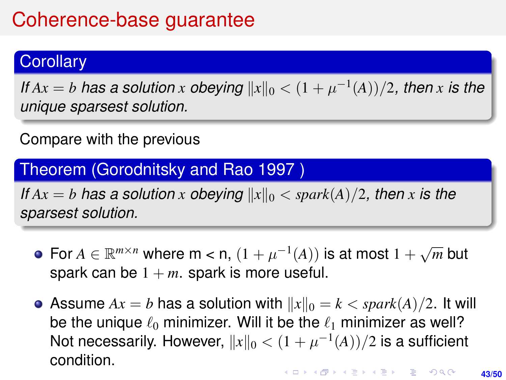# Coherence-base guarantee

#### **Corollary**

*If*  $Ax = b$  *has a solution x obeying*  $||x||_0 < (1 + \mu^{-1}(A))/2$ , *then x is the unique sparsest solution.*

#### Compare with the previous

Theorem (Gorodnitsky and Rao 1997 )

*If*  $Ax = b$  *has a solution x obeying*  $||x||_0 <$  *spark* $(A)/2$ *, then x is the sparsest solution.*

- For  $A \in \mathbb{R}^{m \times n}$  where m < n,  $(1 + \mu^{-1}(A))$  is at most 1 + √ *m* but spark can be  $1 + m$ . spark is more useful.
- Assume  $Ax = b$  has a solution with  $||x||_0 = k <$  *spark* $(A)/2$ . It will be the unique  $\ell_0$  minimizer. Will it be the  $\ell_1$  minimizer as well? Not necessarily. However,  $||x||_0 < (1 + \mu^{-1}(A))/2$  is a sufficient condition.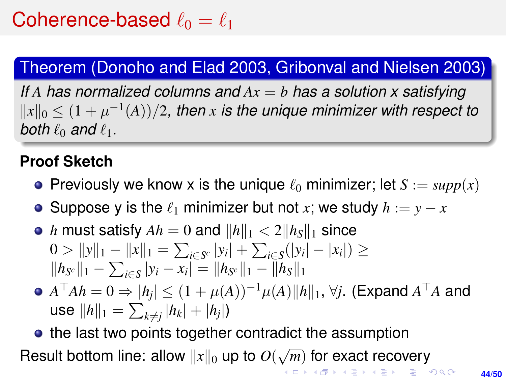### Theorem (Donoho and Elad 2003, Gribonval and Nielsen 2003)

*If A has normalized columns and Ax* = *b has a solution x satisfying*  $||x||_0 \leq (1 + \mu^{-1}(A))/2$ , then *x* is the unique minimizer with respect to *both*  $\ell_0$  *and*  $\ell_1$ *.* 

#### **Proof Sketch**

- **•** Previously we know x is the unique  $\ell_0$  minimizer; let  $S := supp(x)$
- **•** Suppose y is the  $\ell_1$  minimizer but not *x*; we study  $h := y x$
- *h* must satisfy  $Ah = 0$  and  $||h||_1 < 2||h_s||_1$  since 0 >  $||y||_1 - ||x||_1 = \sum_{i \in S^c} |y_i| + \sum_{i \in S} (|y_i| - |x_i|)$  ≥  $||h_{S^c}||_1 - \sum_{i \in S} |y_i - x_i| = ||h_{S^c}||_1 - ||h_S||_1$
- $A^\top A h = 0 \Rightarrow |h_j| \leq (1 + \mu(A))^{-1} \mu(A) \|h\|_1, \, \forall j.$  (Expand  $A^\top A$  and use  $\|h\|_1 = \sum_{k \neq j} |h_k| + |h_j|$

• the last two points together contradict the assumption Result bottom line: allow  $||x||_0$  up to  $O(\sqrt{\frac{2}{\sqrt{m}}})$  $\overline{m})$  $\overline{m})$  for exact recovery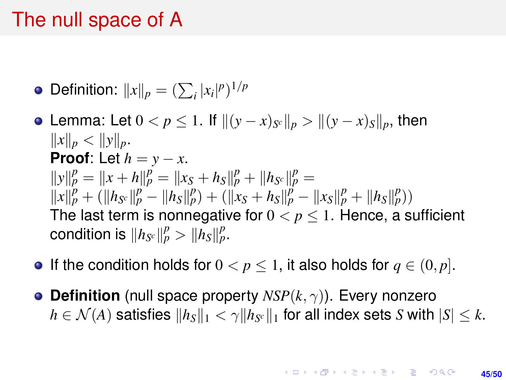<span id="page-44-0"></span>Definition:  $||x||_p = (\sum_i |x_i|^p)^{1/p}$ 

- $\textsf{Lemma: Let } 0 < p ≤ 1.$  If  $\| (y x)_{S^c} \|_p > \| (y x)_S \|_p,$  then  $||x||_p < ||y||_p$ . **Proof:** Let  $h = v - x$ .  $||y||_p^p = ||x + h||_p^p = ||x_S + h_S||_p^p + ||h_{S^c}||_p^p =$  $||x||_p^p + (||h_{S^c}||_p^p - ||h_S||_p^p) + (||x_S + h_S||_p^p - ||x_S||_p^p + ||h_S||_p^p))$ The last term is nonnegative for  $0 < p \leq 1$ . Hence, a sufficient condition is  $||h_{S^c}||_p^p > ||h_S||_p^p$ .
- **If the condition holds for**  $0 < p \le 1$ , it also holds for  $q \in (0, p]$ .
- **Definition** (null space property  $NSP(k, \gamma)$ ). Every nonzero  $h\in \mathcal{N}(A)$  satisfies  $\|h_S\|_1 < \gamma \|h_{S^c}\|_1$  for all index sets  $S$  with  $|S|\leq k.$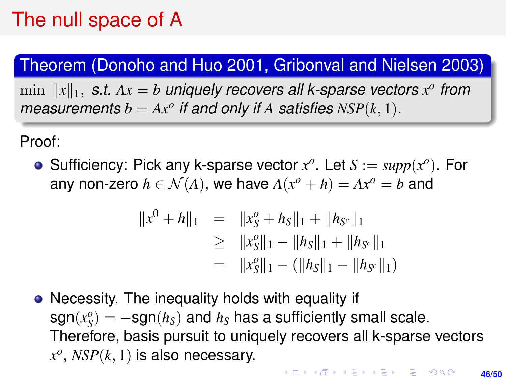#### Theorem (Donoho and Huo 2001, Gribonval and Nielsen 2003)

 $\min$   $||x||_1$ , s.t.  $Ax = b$  *uniquely recovers all k-sparse vectors*  $x^o$  from *measurements*  $b = Ax^o$  *if and only if A satisfies*  $NSP(k, 1)$ *.* 

Proof:

Sufficiency: Pick any k-sparse vector  $x^o$ . Let  $S := supp(x^o)$ . For any non-zero  $h \in \mathcal{N}(A)$ , we have  $A(x^o + h) = Ax^o = b$  and

$$
||x^{0} + h||_{1} = ||x_{S}^{o} + h_{S}||_{1} + ||h_{S^{c}}||_{1}
$$
  
\n
$$
\geq ||x_{S}^{o}||_{1} - ||h_{S}||_{1} + ||h_{S^{c}}||_{1}
$$
  
\n
$$
= ||x_{S}^{o}||_{1} - (||h_{S}||_{1} - ||h_{S^{c}}||_{1})
$$

• Necessity. The inequality holds with equality if  $sgn(x_S^o) = -sgn(h_S)$  and  $h_S$  has a sufficiently small scale. Therefore, basis pursuit to uniquely recovers all k-sparse vectors  $x^o$ ,  $NSP(k, 1)$  is also necessary.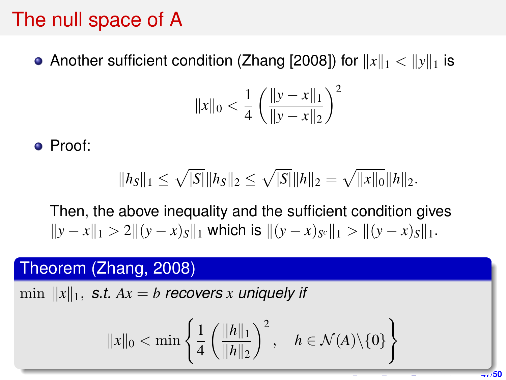• Another sufficient condition (Zhang [2008]) for  $||x||_1 < ||y||_1$  is

$$
||x||_0 < \frac{1}{4} \left( \frac{||y - x||_1}{||y - x||_2} \right)^2
$$

Proof:

$$
||h_S||_1 \leq \sqrt{|S|}||h_S||_2 \leq \sqrt{|S|}||h||_2 = \sqrt{||x||_0}||h||_2.
$$

Then, the above inequality and the sufficient condition gives  $||y - x||_1 > 2||(y - x)s||_1$  which is  $||(y - x)s||_1 > ||(y - x)s||_1$ .

#### Theorem (Zhang, 2008)

 $\min$   $||x||_1$ , *s.t.*  $Ax = b$  recovers *x* uniquely if

$$
||x||_0 < \min \left\{ \frac{1}{4} \left( \frac{||h||_1}{||h||_2} \right)^2, \quad h \in \mathcal{N}(A) \setminus \{0\} \right\}
$$

**47/50**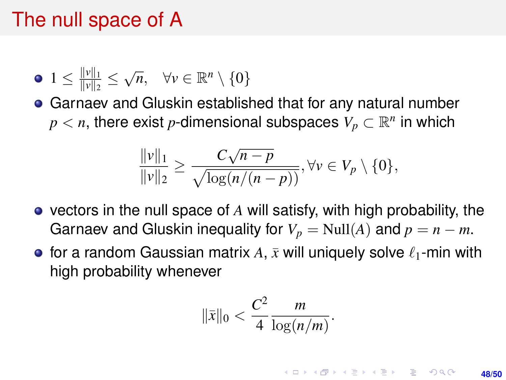$$
\bullet \; 1 \leq \frac{\|v\|_1}{\|v\|_2} \leq \sqrt{n}, \quad \forall v \in \mathbb{R}^n \setminus \{0\}
$$

Garnaev and Gluskin established that for any natural number  $p < n,$  there exist  $p$ -dimensional subspaces  $V_p \subset \mathbb{R}^n$  in which

$$
\frac{\|v\|_1}{\|v\|_2} \ge \frac{C\sqrt{n-p}}{\sqrt{\log(n/(n-p))}}, \forall v \in V_p \setminus \{0\},\
$$

- vectors in the null space of *A* will satisfy, with high probability, the Garnaev and Gluskin inequality for  $V_p = \text{Null}(A)$  and  $p = n - m$ .
- for a random Gaussian matrix  $A$ ,  $\bar{x}$  will uniquely solve  $\ell_1$ -min with high probability whenever

$$
\|\bar{x}\|_0 < \frac{C^2}{4} \frac{m}{\log(n/m)}.
$$

**KORKARK A BIK BIKA A GA A GA A GA A BIKA A BIKA A BIKA A BIKA A BIKA A BIKA A BIKA A BIKA A BIKA A BIKA A BIKA 48/50**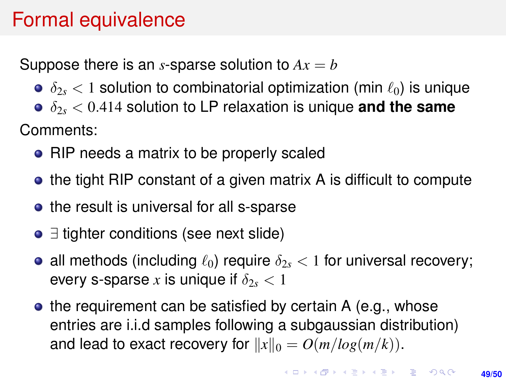## Formal equivalence

Suppose there is an *s*-sparse solution to  $Ax = b$ 

- $\delta_{2s}$  < 1 solution to combinatorial optimization (min  $\ell_0$ ) is unique
- δ2*<sup>s</sup>* < 0.414 solution to LP relaxation is unique **and the same** Comments:
	- RIP needs a matrix to be properly scaled
	- the tight RIP constant of a given matrix A is difficult to compute
	- the result is universal for all s-sparse
	- ∃ tighter conditions (see next slide)
	- all methods (including  $\ell_0$ ) require  $\delta_{2s}$  < 1 for universal recovery; every s-sparse x is unique if  $\delta_{2s} < 1$
	- $\bullet$  the requirement can be satisfied by certain A (e.g., whose entries are i.i.d samples following a subgaussian distribution) and lead to exact recovery for  $||x||_0 = O(m/log(m/k))$ .